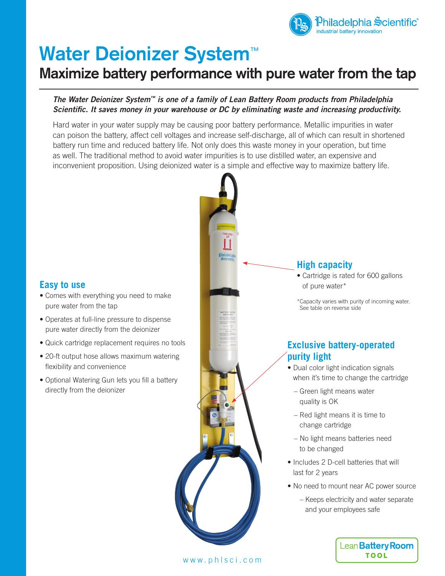

# **Water Deionizer System**™

# **Maximize battery performance with pure water from the tap**

## *The Water Deionizer System™ is one of a family of Lean Battery Room products from Philadelphia Scientific. It saves money in your warehouse or DC by eliminating waste and increasing productivity.*

Hard water in your water supply may be causing poor battery performance. Metallic impurities in water can poison the battery, affect cell voltages and increase self-discharge, all of which can result in shortened battery run time and reduced battery life. Not only does this waste money in your operation, but time as well. The traditional method to avoid water impurities is to use distilled water, an expensive and inconvenient proposition. Using deionized water is a simple and effective way to maximize battery life.

# **Exclusive battery-operated purity light** • Dual color light indication signals when it's time to change the cartridge – Green light means water quality is OK – Red light means it is time to change cartridge – No light means batteries need to be changed • Includes 2 D-cell batteries that will last for 2 years • No need to mount near AC power source – Keeps electricity and water separate and your employees safe **High capacity** • Cartridge is rated for 600 gallons of pure water\* \*Capacity varies with purity of incoming water. See table on reverse side

Lean Battery Room **TOOL** 

**Easy to use**

- Comes with everything you need to make pure water from the tap
- Operates at full-line pressure to dispense pure water directly from the deionizer
- Quick cartridge replacement requires no tools
- 20-ft output hose allows maximum watering flexibility and convenience
- Optional Watering Gun lets you fill a battery directly from the deionizer

www.phlsci.com